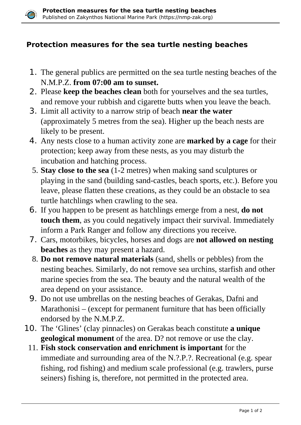

## **Protection measures for the sea turtle nesting beaches**

- 1. The general publics are permitted on the sea turtle nesting beaches of the N.M.P.Z. **from 07:00 am to sunset.**
- 2. Please **keep the beaches clean** both for yourselves and the sea turtles, and remove your rubbish and cigarette butts when you leave the beach.
- 3. Limit all activity to a narrow strip of beach **near the water** (approximately 5 metres from the sea). Higher up the beach nests are likely to be present.
- 4. Any nests close to a human activity zone are **marked by a cage** for their protection; keep away from these nests, as you may disturb the incubation and hatching process.
- 5. **Stay close to the sea** (1-2 metres) when making sand sculptures or playing in the sand (building sand-castles, beach sports, etc.). Before you leave, please flatten these creations, as they could be an obstacle to sea turtle hatchlings when crawling to the sea.
- 6. If you happen to be present as hatchlings emerge from a nest, **do not touch them**, as you could negatively impact their survival. Immediately inform a Park Ranger and follow any directions you receive.
- 7. Cars, motorbikes, bicycles, horses and dogs are **not allowed on nesting beaches** as they may present a hazard.
- 8. **Do not remove natural materials** (sand, shells or pebbles) from the nesting beaches. Similarly, do not remove sea urchins, starfish and other marine species from the sea. The beauty and the natural wealth of the area depend on your assistance.
- 9. Do not use umbrellas on the nesting beaches of Gerakas, Dafni and Marathonisi – (except for permanent furniture that has been officially endorsed by the N.M.P.Z.
- 10. The 'Glines' (clay pinnacles) on Gerakas beach constitute **a unique geological monument** of the area. D? not remove or use the clay.
	- 11. **Fish stock conservation and enrichment is important** for the immediate and surrounding area of the N.?.P.?. Recreational (e.g. spear fishing, rod fishing) and medium scale professional (e.g. trawlers, purse seiners) fishing is, therefore, not permitted in the protected area.